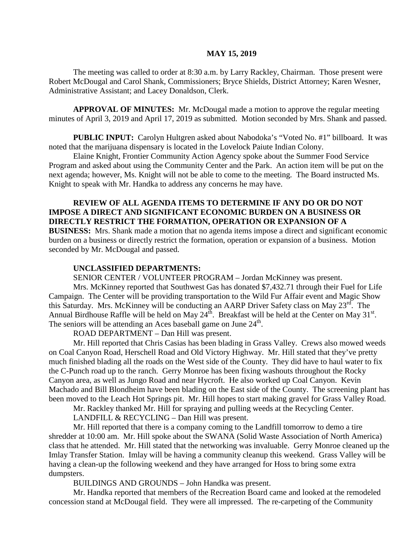#### **MAY 15, 2019**

The meeting was called to order at 8:30 a.m. by Larry Rackley, Chairman. Those present were Robert McDougal and Carol Shank, Commissioners; Bryce Shields, District Attorney; Karen Wesner, Administrative Assistant; and Lacey Donaldson, Clerk.

**APPROVAL OF MINUTES:** Mr. McDougal made a motion to approve the regular meeting minutes of April 3, 2019 and April 17, 2019 as submitted. Motion seconded by Mrs. Shank and passed.

 **PUBLIC INPUT:** Carolyn Hultgren asked about Nabodoka's "Voted No. #1" billboard. It was noted that the marijuana dispensary is located in the Lovelock Paiute Indian Colony.

Elaine Knight, Frontier Community Action Agency spoke about the Summer Food Service Program and asked about using the Community Center and the Park. An action item will be put on the next agenda; however, Ms. Knight will not be able to come to the meeting. The Board instructed Ms. Knight to speak with Mr. Handka to address any concerns he may have.

**REVIEW OF ALL AGENDA ITEMS TO DETERMINE IF ANY DO OR DO NOT IMPOSE A DIRECT AND SIGNIFICANT ECONOMIC BURDEN ON A BUSINESS OR DIRECTLY RESTRICT THE FORMATION, OPERATION OR EXPANSION OF A BUSINESS:** Mrs. Shank made a motion that no agenda items impose a direct and significant economic burden on a business or directly restrict the formation, operation or expansion of a business. Motion seconded by Mr. McDougal and passed.

#### **UNCLASSIFIED DEPARTMENTS:**

SENIOR CENTER / VOLUNTEER PROGRAM – Jordan McKinney was present.

Mrs. McKinney reported that Southwest Gas has donated \$7,432.71 through their Fuel for Life Campaign. The Center will be providing transportation to the Wild Fur Affair event and Magic Show this Saturday. Mrs. McKinney will be conducting an AARP Driver Safety class on May 23<sup>rd</sup>. The Annual Birdhouse Raffle will be held on May  $24^{\text{th}}$ . Breakfast will be held at the Center on May 31<sup>st</sup>. The seniors will be attending an Aces baseball game on June  $24<sup>th</sup>$ .

ROAD DEPARTMENT – Dan Hill was present.

Mr. Hill reported that Chris Casias has been blading in Grass Valley. Crews also mowed weeds on Coal Canyon Road, Herschell Road and Old Victory Highway. Mr. Hill stated that they've pretty much finished blading all the roads on the West side of the County. They did have to haul water to fix the C-Punch road up to the ranch. Gerry Monroe has been fixing washouts throughout the Rocky Canyon area, as well as Jungo Road and near Hycroft. He also worked up Coal Canyon. Kevin Machado and Bill Blondheim have been blading on the East side of the County. The screening plant has been moved to the Leach Hot Springs pit. Mr. Hill hopes to start making gravel for Grass Valley Road.

Mr. Rackley thanked Mr. Hill for spraying and pulling weeds at the Recycling Center.

LANDFILL & RECYCLING – Dan Hill was present.

Mr. Hill reported that there is a company coming to the Landfill tomorrow to demo a tire shredder at 10:00 am. Mr. Hill spoke about the SWANA (Solid Waste Association of North America) class that he attended. Mr. Hill stated that the networking was invaluable. Gerry Monroe cleaned up the Imlay Transfer Station. Imlay will be having a community cleanup this weekend. Grass Valley will be having a clean-up the following weekend and they have arranged for Hoss to bring some extra dumpsters.

BUILDINGS AND GROUNDS – John Handka was present.

Mr. Handka reported that members of the Recreation Board came and looked at the remodeled concession stand at McDougal field. They were all impressed. The re-carpeting of the Community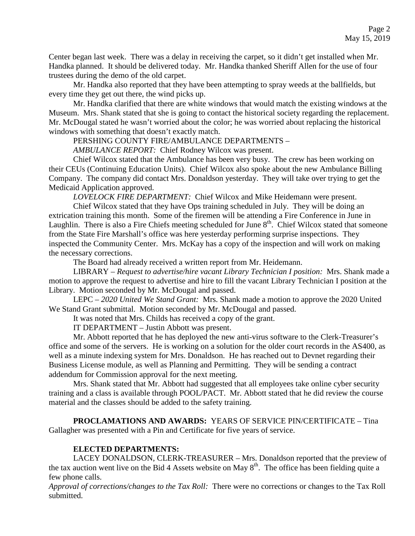Center began last week. There was a delay in receiving the carpet, so it didn't get installed when Mr. Handka planned. It should be delivered today. Mr. Handka thanked Sheriff Allen for the use of four trustees during the demo of the old carpet.

Mr. Handka also reported that they have been attempting to spray weeds at the ballfields, but every time they get out there, the wind picks up.

Mr. Handka clarified that there are white windows that would match the existing windows at the Museum. Mrs. Shank stated that she is going to contact the historical society regarding the replacement. Mr. McDougal stated he wasn't worried about the color; he was worried about replacing the historical windows with something that doesn't exactly match.

PERSHING COUNTY FIRE/AMBULANCE DEPARTMENTS –

*AMBULANCE REPORT:* Chief Rodney Wilcox was present.

Chief Wilcox stated that the Ambulance has been very busy. The crew has been working on their CEUs (Continuing Education Units). Chief Wilcox also spoke about the new Ambulance Billing Company. The company did contact Mrs. Donaldson yesterday. They will take over trying to get the Medicaid Application approved.

*LOVELOCK FIRE DEPARTMENT:* Chief Wilcox and Mike Heidemann were present.

Chief Wilcox stated that they have Ops training scheduled in July. They will be doing an extrication training this month. Some of the firemen will be attending a Fire Conference in June in Laughlin. There is also a Fire Chiefs meeting scheduled for June  $8<sup>th</sup>$ . Chief Wilcox stated that someone from the State Fire Marshall's office was here yesterday performing surprise inspections. They inspected the Community Center. Mrs. McKay has a copy of the inspection and will work on making the necessary corrections.

The Board had already received a written report from Mr. Heidemann.

LIBRARY – *Request to advertise/hire vacant Library Technician I position:* Mrs. Shank made a motion to approve the request to advertise and hire to fill the vacant Library Technician I position at the Library. Motion seconded by Mr. McDougal and passed.

LEPC – *2020 United We Stand Grant:* Mrs. Shank made a motion to approve the 2020 United We Stand Grant submittal. Motion seconded by Mr. McDougal and passed.

It was noted that Mrs. Childs has received a copy of the grant.

IT DEPARTMENT – Justin Abbott was present.

Mr. Abbott reported that he has deployed the new anti-virus software to the Clerk-Treasurer's office and some of the servers. He is working on a solution for the older court records in the AS400, as well as a minute indexing system for Mrs. Donaldson. He has reached out to Devnet regarding their Business License module, as well as Planning and Permitting. They will be sending a contract addendum for Commission approval for the next meeting.

Mrs. Shank stated that Mr. Abbott had suggested that all employees take online cyber security training and a class is available through POOL/PACT. Mr. Abbott stated that he did review the course material and the classes should be added to the safety training.

**PROCLAMATIONS AND AWARDS:** YEARS OF SERVICE PIN/CERTIFICATE – Tina Gallagher was presented with a Pin and Certificate for five years of service.

## **ELECTED DEPARTMENTS:**

LACEY DONALDSON, CLERK-TREASURER – Mrs. Donaldson reported that the preview of the tax auction went live on the Bid 4 Assets website on May  $8<sup>th</sup>$ . The office has been fielding quite a few phone calls.

*Approval of corrections/changes to the Tax Roll:* There were no corrections or changes to the Tax Roll submitted.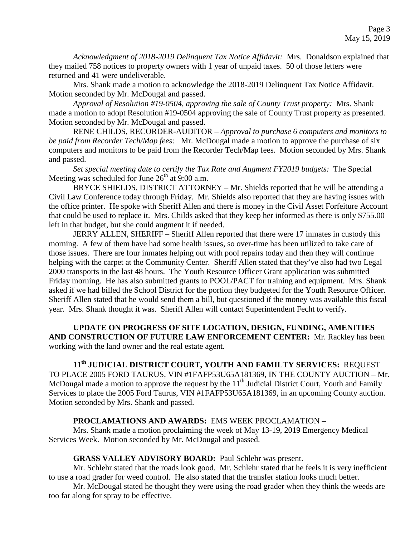*Acknowledgment of 2018-2019 Delinquent Tax Notice Affidavit:* Mrs. Donaldson explained that they mailed 758 notices to property owners with 1 year of unpaid taxes. 50 of those letters were returned and 41 were undeliverable.

Mrs. Shank made a motion to acknowledge the 2018-2019 Delinquent Tax Notice Affidavit. Motion seconded by Mr. McDougal and passed.

*Approval of Resolution #19-0504, approving the sale of County Trust property:* Mrs. Shank made a motion to adopt Resolution #19-0504 approving the sale of County Trust property as presented. Motion seconded by Mr. McDougal and passed.

RENE CHILDS, RECORDER-AUDITOR – *Approval to purchase 6 computers and monitors to be paid from Recorder Tech/Map fees:* Mr. McDougal made a motion to approve the purchase of six computers and monitors to be paid from the Recorder Tech/Map fees. Motion seconded by Mrs. Shank and passed.

*Set special meeting date to certify the Tax Rate and Augment FY2019 budgets:* The Special Meeting was scheduled for June  $26<sup>th</sup>$  at 9:00 a.m.

BRYCE SHIELDS, DISTRICT ATTORNEY – Mr. Shields reported that he will be attending a Civil Law Conference today through Friday. Mr. Shields also reported that they are having issues with the office printer. He spoke with Sheriff Allen and there is money in the Civil Asset Forfeiture Account that could be used to replace it. Mrs. Childs asked that they keep her informed as there is only \$755.00 left in that budget, but she could augment it if needed.

JERRY ALLEN, SHERIFF – Sheriff Allen reported that there were 17 inmates in custody this morning. A few of them have had some health issues, so over-time has been utilized to take care of those issues. There are four inmates helping out with pool repairs today and then they will continue helping with the carpet at the Community Center. Sheriff Allen stated that they've also had two Legal 2000 transports in the last 48 hours. The Youth Resource Officer Grant application was submitted Friday morning. He has also submitted grants to POOL/PACT for training and equipment. Mrs. Shank asked if we had billed the School District for the portion they budgeted for the Youth Resource Officer. Sheriff Allen stated that he would send them a bill, but questioned if the money was available this fiscal year. Mrs. Shank thought it was. Sheriff Allen will contact Superintendent Fecht to verify.

**UPDATE ON PROGRESS OF SITE LOCATION, DESIGN, FUNDING, AMENITIES AND CONSTRUCTION OF FUTURE LAW ENFORCEMENT CENTER:** Mr. Rackley has been working with the land owner and the real estate agent.

# **11th JUDICIAL DISTRICT COURT, YOUTH AND FAMILTY SERVICES:** REQUEST TO PLACE 2005 FORD TAURUS, VIN #1FAFP53U65A181369, IN THE COUNTY AUCTION – Mr.

McDougal made a motion to approve the request by the  $11<sup>th</sup>$  Judicial District Court, Youth and Family Services to place the 2005 Ford Taurus, VIN #1FAFP53U65A181369, in an upcoming County auction. Motion seconded by Mrs. Shank and passed.

## **PROCLAMATIONS AND AWARDS:** EMS WEEK PROCLAMATION –

Mrs. Shank made a motion proclaiming the week of May 13-19, 2019 Emergency Medical Services Week. Motion seconded by Mr. McDougal and passed.

## **GRASS VALLEY ADVISORY BOARD:** Paul Schlehr was present.

Mr. Schlehr stated that the roads look good. Mr. Schlehr stated that he feels it is very inefficient to use a road grader for weed control. He also stated that the transfer station looks much better.

Mr. McDougal stated he thought they were using the road grader when they think the weeds are too far along for spray to be effective.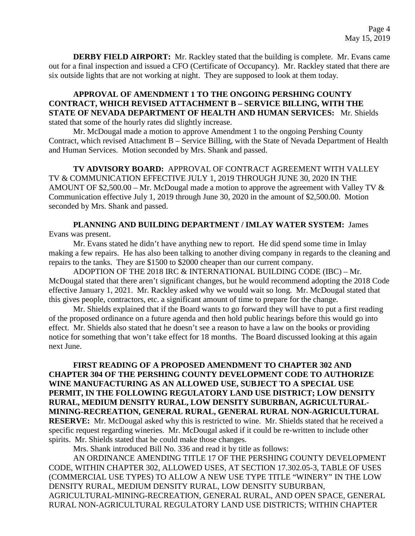**DERBY FIELD AIRPORT:** Mr. Rackley stated that the building is complete. Mr. Evans came out for a final inspection and issued a CFO (Certificate of Occupancy). Mr. Rackley stated that there are six outside lights that are not working at night. They are supposed to look at them today.

## **APPROVAL OF AMENDMENT 1 TO THE ONGOING PERSHING COUNTY CONTRACT, WHICH REVISED ATTACHMENT B – SERVICE BILLING, WITH THE STATE OF NEVADA DEPARTMENT OF HEALTH AND HUMAN SERVICES:** Mr. Shields stated that some of the hourly rates did slightly increase.

Mr. McDougal made a motion to approve Amendment 1 to the ongoing Pershing County Contract, which revised Attachment B – Service Billing, with the State of Nevada Department of Health and Human Services. Motion seconded by Mrs. Shank and passed.

**TV ADVISORY BOARD:** APPROVAL OF CONTRACT AGREEMENT WITH VALLEY TV & COMMUNICATION EFFECTIVE JULY 1, 2019 THROUGH JUNE 30, 2020 IN THE AMOUNT OF \$2,500.00 – Mr. McDougal made a motion to approve the agreement with Valley TV  $\&$ Communication effective July 1, 2019 through June 30, 2020 in the amount of \$2,500.00. Motion seconded by Mrs. Shank and passed.

### **PLANNING AND BUILDING DEPARTMENT / IMLAY WATER SYSTEM:** James Evans was present.

Mr. Evans stated he didn't have anything new to report. He did spend some time in Imlay making a few repairs. He has also been talking to another diving company in regards to the cleaning and repairs to the tanks. They are \$1500 to \$2000 cheaper than our current company.

ADOPTION OF THE 2018 IRC & INTERNATIONAL BUILDING CODE (IBC) – Mr. McDougal stated that there aren't significant changes, but he would recommend adopting the 2018 Code effective January 1, 2021. Mr. Rackley asked why we would wait so long. Mr. McDougal stated that this gives people, contractors, etc. a significant amount of time to prepare for the change.

Mr. Shields explained that if the Board wants to go forward they will have to put a first reading of the proposed ordinance on a future agenda and then hold public hearings before this would go into effect. Mr. Shields also stated that he doesn't see a reason to have a law on the books or providing notice for something that won't take effect for 18 months. The Board discussed looking at this again next June.

**FIRST READING OF A PROPOSED AMENDMENT TO CHAPTER 302 AND CHAPTER 304 OF THE PERSHING COUNTY DEVELOPMENT CODE TO AUTHORIZE WINE MANUFACTURING AS AN ALLOWED USE, SUBJECT TO A SPECIAL USE PERMIT, IN THE FOLLOWING REGULATORY LAND USE DISTRICT; LOW DENSITY RURAL, MEDIUM DENSITY RURAL, LOW DENSITY SUBURBAN, AGRICULTURAL-MINING-RECREATION, GENERAL RURAL, GENERAL RURAL NON-AGRICULTURAL RESERVE:** Mr. McDougal asked why this is restricted to wine. Mr. Shields stated that he received a specific request regarding wineries. Mr. McDougal asked if it could be re-written to include other spirits. Mr. Shields stated that he could make those changes.

Mrs. Shank introduced Bill No. 336 and read it by title as follows:

AN ORDINANCE AMENDING TITLE 17 OF THE PERSHING COUNTY DEVELOPMENT CODE, WITHIN CHAPTER 302, ALLOWED USES, AT SECTION 17.302.05-3, TABLE OF USES (COMMERCIAL USE TYPES) TO ALLOW A NEW USE TYPE TITLE "WINERY" IN THE LOW DENSITY RURAL, MEDIUM DENSITY RURAL, LOW DENSITY SUBURBAN, AGRICULTURAL-MINING-RECREATION, GENERAL RURAL, AND OPEN SPACE, GENERAL RURAL NON-AGRICULTURAL REGULATORY LAND USE DISTRICTS; WITHIN CHAPTER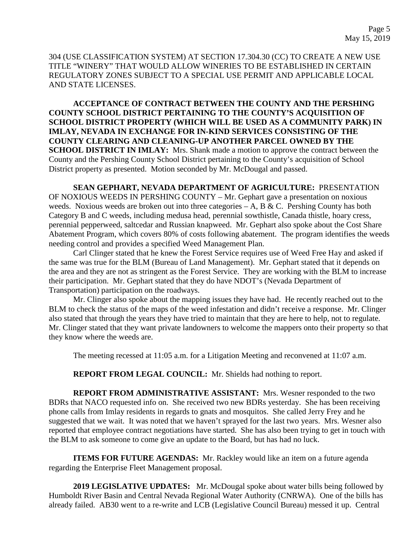304 (USE CLASSIFICATION SYSTEM) AT SECTION 17.304.30 (CC) TO CREATE A NEW USE TITLE "WINERY" THAT WOULD ALLOW WINERIES TO BE ESTABLISHED IN CERTAIN REGULATORY ZONES SUBJECT TO A SPECIAL USE PERMIT AND APPLICABLE LOCAL AND STATE LICENSES.

**ACCEPTANCE OF CONTRACT BETWEEN THE COUNTY AND THE PERSHING COUNTY SCHOOL DISTRICT PERTAINING TO THE COUNTY'S ACQUISITION OF SCHOOL DISTRICT PROPERTY (WHICH WILL BE USED AS A COMMUNITY PARK) IN IMLAY, NEVADA IN EXCHANGE FOR IN-KIND SERVICES CONSISTING OF THE COUNTY CLEARING AND CLEANING-UP ANOTHER PARCEL OWNED BY THE SCHOOL DISTRICT IN IMLAY:** Mrs. Shank made a motion to approve the contract between the County and the Pershing County School District pertaining to the County's acquisition of School District property as presented. Motion seconded by Mr. McDougal and passed.

**SEAN GEPHART, NEVADA DEPARTMENT OF AGRICULTURE:** PRESENTATION OF NOXIOUS WEEDS IN PERSHING COUNTY – Mr. Gephart gave a presentation on noxious weeds. Noxious weeds are broken out into three categories  $-A$ , B & C. Pershing County has both Category B and C weeds, including medusa head, perennial sowthistle, Canada thistle, hoary cress, perennial pepperweed, saltcedar and Russian knapweed. Mr. Gephart also spoke about the Cost Share Abatement Program, which covers 80% of costs following abatement. The program identifies the weeds needing control and provides a specified Weed Management Plan.

Carl Clinger stated that he knew the Forest Service requires use of Weed Free Hay and asked if the same was true for the BLM (Bureau of Land Management). Mr. Gephart stated that it depends on the area and they are not as stringent as the Forest Service. They are working with the BLM to increase their participation. Mr. Gephart stated that they do have NDOT's (Nevada Department of Transportation) participation on the roadways.

Mr. Clinger also spoke about the mapping issues they have had. He recently reached out to the BLM to check the status of the maps of the weed infestation and didn't receive a response. Mr. Clinger also stated that through the years they have tried to maintain that they are here to help, not to regulate. Mr. Clinger stated that they want private landowners to welcome the mappers onto their property so that they know where the weeds are.

The meeting recessed at 11:05 a.m. for a Litigation Meeting and reconvened at 11:07 a.m.

**REPORT FROM LEGAL COUNCIL:** Mr. Shields had nothing to report.

**REPORT FROM ADMINISTRATIVE ASSISTANT:** Mrs. Wesner responded to the two BDRs that NACO requested info on. She received two new BDRs yesterday. She has been receiving phone calls from Imlay residents in regards to gnats and mosquitos. She called Jerry Frey and he suggested that we wait. It was noted that we haven't sprayed for the last two years. Mrs. Wesner also reported that employee contract negotiations have started. She has also been trying to get in touch with the BLM to ask someone to come give an update to the Board, but has had no luck.

**ITEMS FOR FUTURE AGENDAS:** Mr. Rackley would like an item on a future agenda regarding the Enterprise Fleet Management proposal.

**2019 LEGISLATIVE UPDATES:** Mr. McDougal spoke about water bills being followed by Humboldt River Basin and Central Nevada Regional Water Authority (CNRWA). One of the bills has already failed. AB30 went to a re-write and LCB (Legislative Council Bureau) messed it up. Central